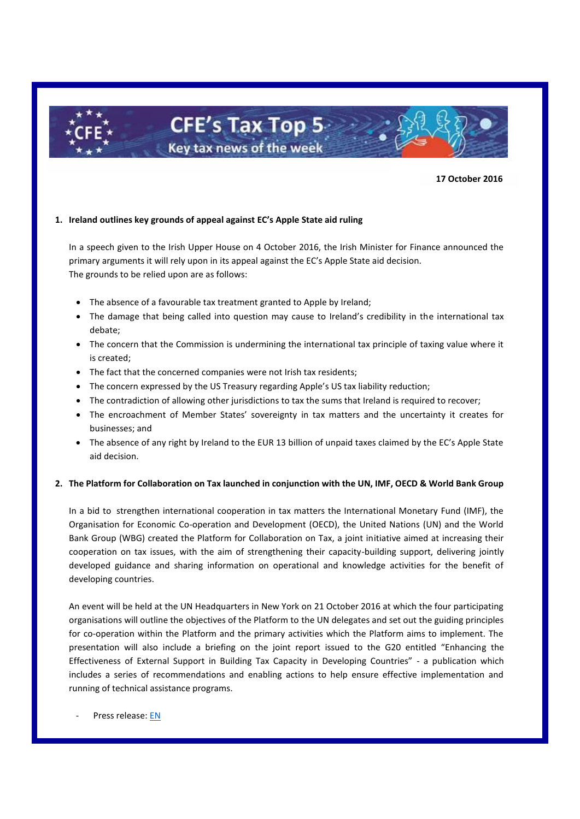

**17 October 2016**

## **1. Ireland outlines key grounds of appeal against EC's Apple State aid ruling**

In a speech given to the Irish Upper House on 4 October 2016, the Irish Minister for Finance announced the primary arguments it will rely upon in its appeal against the EC's Apple State aid decision. The grounds to be relied upon are as follows:

- The absence of a favourable tax treatment granted to Apple by Ireland;
- The damage that being called into question may cause to Ireland's credibility in the international tax debate;
- The concern that the Commission is undermining the international tax principle of taxing value where it is created;
- The fact that the concerned companies were not Irish tax residents;
- The concern expressed by the US Treasury regarding Apple's US tax liability reduction;
- The contradiction of allowing other jurisdictions to tax the sums that Ireland is required to recover;
- The encroachment of Member States' sovereignty in tax matters and the uncertainty it creates for businesses; and
- The absence of any right by Ireland to the EUR 13 billion of unpaid taxes claimed by the EC's Apple State aid decision.

## **2. The Platform for Collaboration on Tax launched in conjunction with the UN, IMF, OECD & World Bank Group**

In a bid to strengthen international cooperation in tax matters the International Monetary Fund (IMF), the Organisation for Economic Co-operation and Development (OECD), the United Nations (UN) and the World Bank Group (WBG) created the Platform for Collaboration on Tax, a joint initiative aimed at increasing their cooperation on tax issues, with the aim of strengthening their capacity-building support, delivering jointly developed guidance and sharing information on operational and knowledge activities for the benefit of developing countries.

An event will be held at the UN Headquarters in New York on 21 October 2016 at which the four participating organisations will outline the objectives of the Platform to the UN delegates and set out the guiding principles for co-operation within the Platform and the primary activities which the Platform aims to implement. The presentation will also include a briefing on the joint report issued to the G20 entitled "Enhancing the Effectiveness of External Support in Building Tax Capacity in Developing Countries" - a publication which includes a series of recommendations and enabling actions to help ensure effective implementation and running of technical assistance programs.

Press release: [EN](http://www.un.org/esa/ffd/events/event/ie-side-event-collaboration-on-tax.html)